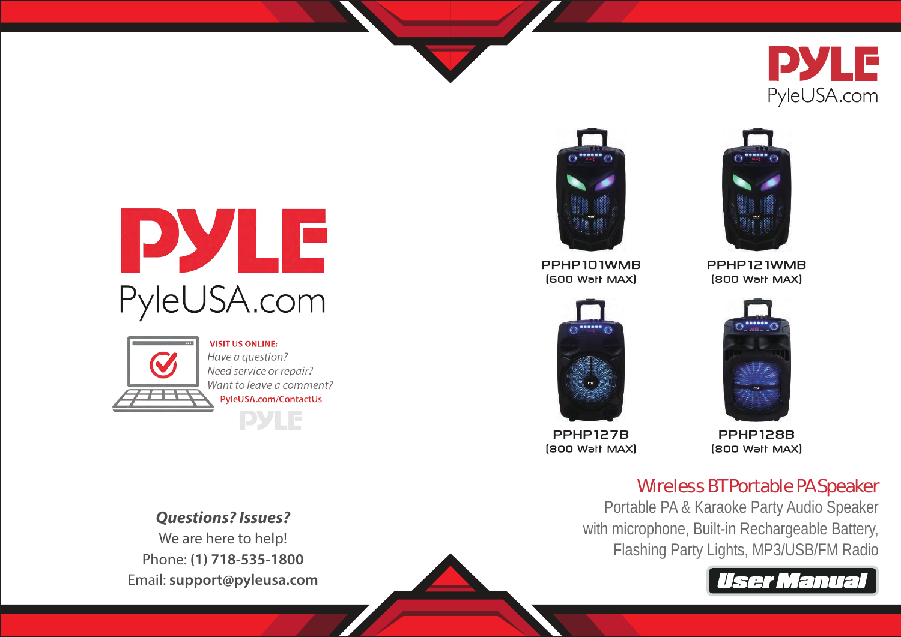

# PYLE PyleUSA.com



**VISIT US ONLINE:** Have a question? Need service or repair? Want to leave a comment? PyleUSA.com/ContactUs **PYLE** 

*Questions? Issues?* We are here to help! Phone: **(1) 718-535-1800** Email: **support@pyleusa.com**



PPHP101WMB [600 Wall MAX]



PPHP127B **(800 Wall MAX)** 

**PPHP128B (800 Wall MAX)** 

PPHP121WMB **(800 Wall MAX)** 

# Wireless BT Portable PA Speaker

Portable PA & Karaoke Party Audio Speaker with microphone, Built-in Rechargeable Battery, Flashing Party Lights, MP3/USB/FM Radio



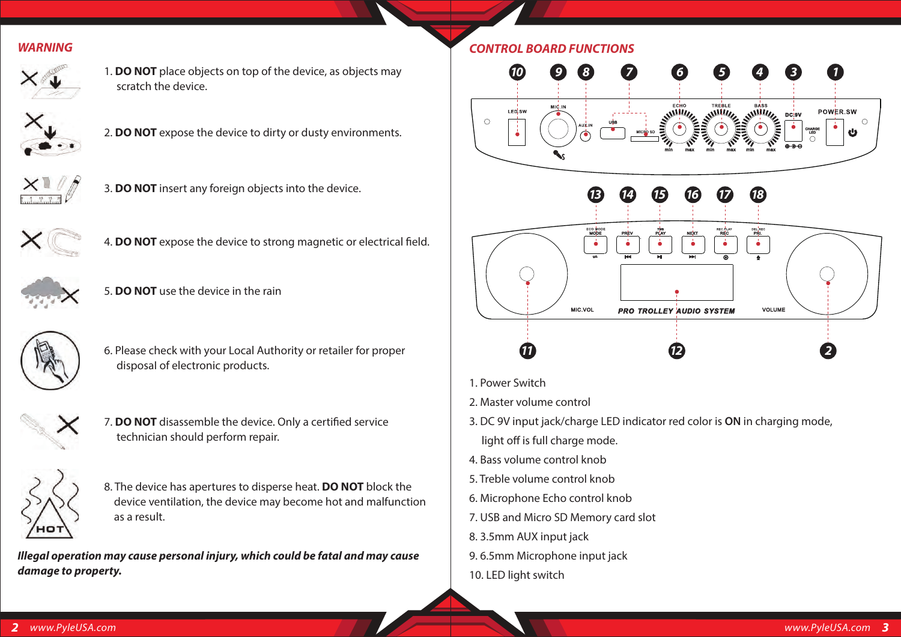#### *WARNING*



1. **DO NOT** place objects on top of the device, as objects may scratch the device.



2. **DO NOT** expose the device to dirty or dusty environments.



3. **DO NOT** insert any foreign objects into the device.



4. **DO NOT** expose the device to strong magnetic or electrical field.



5. **DO NOT** use the device in the rain



6. Please check with your Local Authority or retailer for proper disposaI of electronic products.



7. **DO NOT** disassemble the device. Only a certified service technician should perform repair.



8. The device has apertures to disperse heat. **DO NOT** block the device ventilation, the device may become hot and malfunction as a result.

*Illegal operation may cause personal injury, which could be fatal and may cause damage to property.*



- 1. Power Switch
- 2. Master volume control
- 3. DC 9V input jack/charge LED indicator red color is **ON** in charging mode, light off is full charge mode.
- 4. Bass volume control knob
- 5. Treble volume control knob
- 6. Microphone Echo control knob
- 7. USB and Micro SD Memory card slot
- 8. 3.5mm AUX input jack
- 9. 6.5mm Microphone input jack
- 10. LED light switch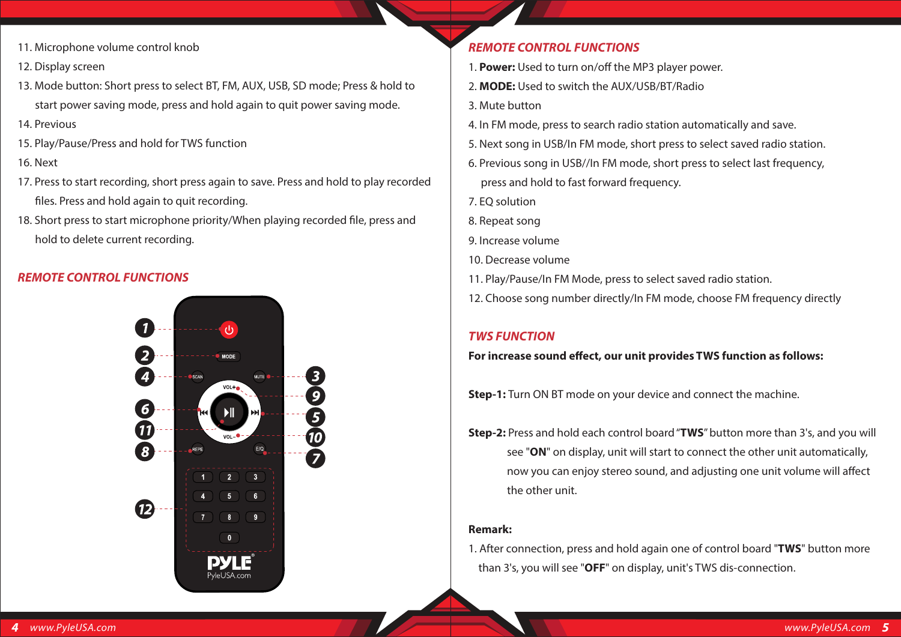- 11. Microphone volume control knob
- 12. Display screen
- 13. Mode button: Short press to select BT, FM, AUX, USB, SD mode; Press & hold to start power saving mode, press and hold again to quit power saving mode.
- 14. Previous
- 15. Play/Pause/Press and hold for TWS function

#### 16. Next

- 17. Press to start recording, short press again to save. Press and hold to play recorded files. Press and hold again to quit recording.
- 18. Short press to start microphone priority/When playing recorded file, press and hold to delete current recording.

#### *REMOTE CONTROL FUNCTIONS*



# *REMOTE CONTROL FUNCTIONS*

- 1. **Power:** Used to turn on/off the MP3 player power.
- 2. **MODE:** Used to switch the AUX/USB/BT/Radio
- 3. Mute button
- 4. In FM mode, press to search radio station automatically and save.
- 5. Next song in USB/In FM mode, short press to select saved radio station.
- 6. Previous song in USB//In FM mode, short press to select last frequency, press and hold to fast forward frequency.
- 7. EQ solution
- 8. Repeat song
- 9. Increase volume
- 10. Decrease volume
- 11. Play/Pause/In FM Mode, press to select saved radio station.
- 12. Choose song number directly/In FM mode, choose FM frequency directly

# *TWS FUNCTION*

#### For increase sound effect, our unit provides TWS function as follows:

- **Step-1:** Turn ON BT mode on your device and connect the machine.
- **Step-2:** Press and hold each control board "**TWS**" button more than 3's, and you will see "**ON**" on display, unit will start to connect the other unit automatically, now you can enjoy stereo sound, and adjusting one unit volume will affect the other unit.

#### **Remark:**

1. After connection, press and hold again one of control board "**TWS**" button more than 3's, you will see "**OFF**" on display, unit's TWS dis-connection.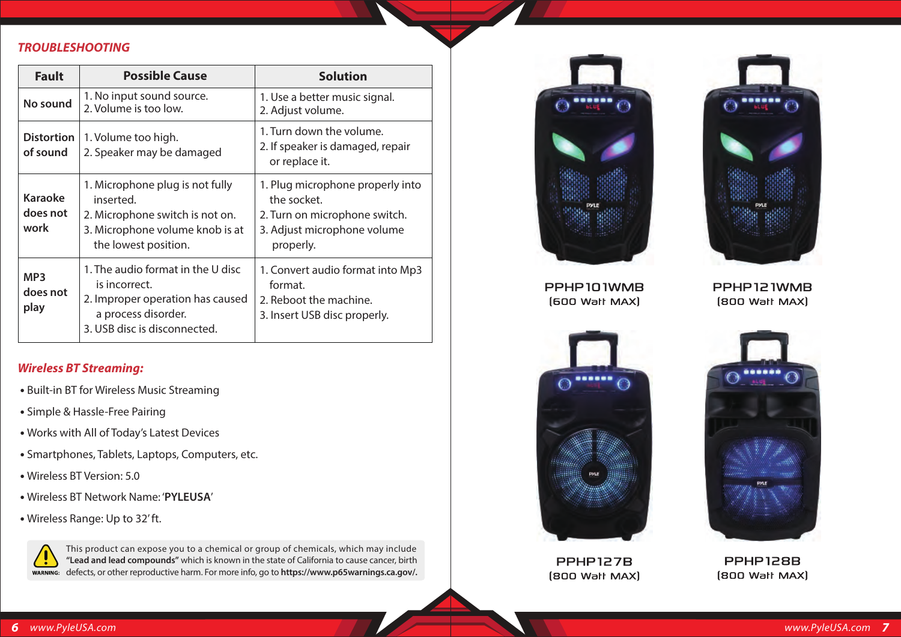#### *TROUBLESHOOTING*

| <b>Fault</b>                        | <b>Possible Cause</b>                                                                                                                         | <b>Solution</b>                                                                                                              |
|-------------------------------------|-----------------------------------------------------------------------------------------------------------------------------------------------|------------------------------------------------------------------------------------------------------------------------------|
| No sound                            | 1. No input sound source.<br>2. Volume is too low.                                                                                            | 1. Use a better music signal.<br>2. Adjust volume.                                                                           |
| <b>Distortion</b><br>of sound       | 1. Volume too high.<br>2. Speaker may be damaged                                                                                              | 1. Turn down the volume.<br>2. If speaker is damaged, repair<br>or replace it.                                               |
| <b>Karaoke</b><br>does not<br>work  | 1. Microphone plug is not fully<br>inserted.<br>2. Microphone switch is not on.<br>3. Microphone volume knob is at<br>the lowest position.    | 1. Plug microphone properly into<br>the socket.<br>2. Turn on microphone switch.<br>3. Adjust microphone volume<br>properly. |
| MP <sub>3</sub><br>does not<br>play | 1. The audio format in the U disc<br>is incorrect.<br>2. Improper operation has caused<br>a process disorder.<br>3. USB disc is disconnected. | 1. Convert audio format into Mp3<br>format.<br>2. Reboot the machine.<br>3. Insert USB disc properly.                        |

#### *Wireless BT Streaming:*

- Built-in BT for Wireless Music Streaming
- Simple & Hassle-Free Pairing
- Works with All of Today's Latest Devices
- Smartphones, Tablets, Laptops, Computers, etc.
- Wireless BT Version: 5.0
- Wireless BT Network Name: '**PYLEUSA**'
- Wireless Range: Up to 32' ft.



This product can expose you to a chemical or group of chemicals, which may include **"Lead and lead compounds"** which is known in the state of California to cause cancer, birth defects, or other reproductive harm. For more info, go to **https://www.p65warnings.ca.gov/.**





**PPHP101WMB** [600 Walt MAX]

PPHP121WMB **(800 Wall MAX)** 



**PPHP127B (800 Wall MAX)** 



**PPHP128B (800 Wall MAX)**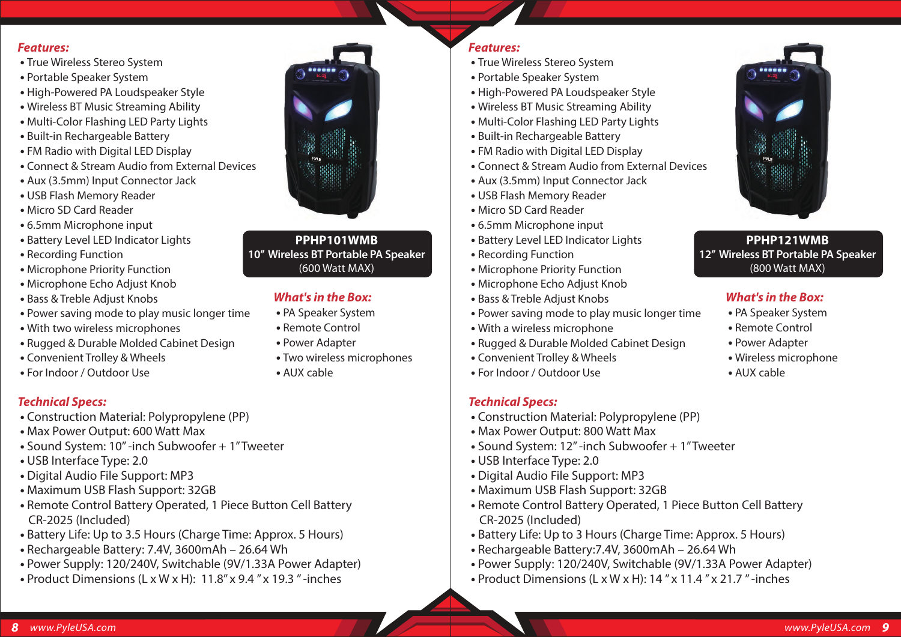#### *Features:*

- True Wireless Stereo System
- Portable Speaker System
- High-Powered PA Loudspeaker Style
- Wireless BT Music Streaming Ability
- Multi-Color Flashing LED Party Lights
- Built-in Rechargeable Battery
- FM Radio with Digital LED Display
- Connect & Stream Audio from External Devices
- Aux (3.5mm) Input Connector Jack
- USB Flash Memory Reader
- Micro SD Card Reader
- 6.5mm Microphone input
- Battery Level LED Indicator Lights
- Recording Function
- Microphone Priority Function
- Microphone Echo Adjust Knob
- Bass & Treble Adjust Knobs
- Power saving mode to play music longer time
- With two wireless microphones
- Rugged & Durable Molded Cabinet Design
- Convenient Trolley & Wheels
- For Indoor / Outdoor Use

#### *Technical Specs:*

- Construction Material: Polypropylene (PP)
- Max Power Output: 600 Watt Max
- Sound System: 10'' -inch Subwoofer + 1" Tweeter
- USB Interface Type: 2.0
- Digital Audio File Support: MP3
- Maximum USB Flash Support: 32GB
- Remote Control Battery Operated, 1 Piece Button Cell Battery CR-2025 (Included)
- Battery Life: Up to 3.5 Hours (Charge Time: Approx. 5 Hours)
- Rechargeable Battery: 7.4V, 3600mAh 26.64 Wh
- Power Supply: 120/240V, Switchable (9V/1.33A Power Adapter)
- Product Dimensions (L x W x H): 11.8'' x 9.4 '' x 19.3 '' -inches



#### **PPHP101WMB 10'' Wireless BT Portable PA Speaker** (600 Watt MAX)

#### *What's in the Box:*

- 
- 

#### *Features:*

- True Wireless Stereo System
- Portable Speaker System
- High-Powered PA Loudspeaker Style
- Wireless BT Music Streaming Ability
- Multi-Color Flashing LED Party Lights
- Built-in Rechargeable Battery
- FM Radio with Digital LED Display
- Connect & Stream Audio from External Devices
- Aux (3.5mm) Input Connector Jack
- USB Flash Memory Reader
- Micro SD Card Reader
- 6.5mm Microphone input
- Battery Level LED Indicator Lights
- Recording Function
- Microphone Priority Function
- Microphone Echo Adjust Knob
- Bass & Treble Adjust Knobs
- Power saving mode to play music longer time
- With a wireless microphone
- Rugged & Durable Molded Cabinet Design
- Convenient Trolley & Wheels
- For Indoor / Outdoor Use

# *Technical Specs:*

- Construction Material: Polypropylene (PP)
- Max Power Output: 800 Watt Max
- Sound System: 12'' -inch Subwoofer + 1" Tweeter
- USB Interface Type: 2.0
- Digital Audio File Support: MP3
- Maximum USB Flash Support: 32GB
- Remote Control Battery Operated, 1 Piece Button Cell Battery CR-2025 (Included)
- Battery Life: Up to 3 Hours (Charge Time: Approx. 5 Hours)
- Rechargeable Battery:7.4V, 3600mAh 26.64 Wh
- Power Supply: 120/240V, Switchable (9V/1.33A Power Adapter)
- Product Dimensions (L x W x H): 14 '' x 11.4 '' x 21.7 '' -inches



#### **PPHP121WMB 12'' Wireless BT Portable PA Speaker** (800 Watt MAX)

# *What's in the Box:*

- PA Speaker System
- Remote Control
- Power Adapter
- Wireless microphone
- AUX cable
- PA Speaker System  **•** Remote Control  **•** Power Adapter
	- Two wireless microphones
	- AUX cable